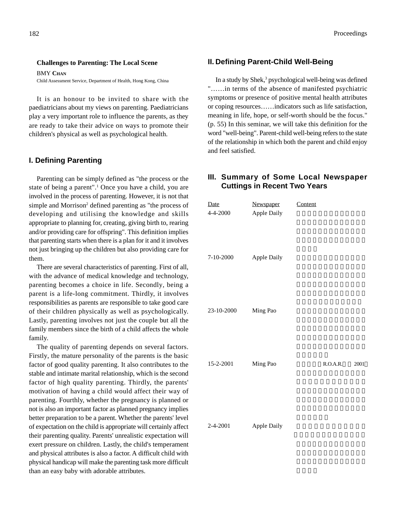#### **Challenges to Parenting: The Local Scene**

BMY **CHAN**

Child Assessment Service, Department of Health, Hong Kong, China

It is an honour to be invited to share with the paediatricians about my views on parenting. Paediatricians play a very important role to influence the parents, as they are ready to take their advice on ways to promote their children's physical as well as psychological health.

#### **I. Defining Parenting**

Parenting can be simply defined as "the process or the state of being a parent".<sup>1</sup> Once you have a child, you are involved in the process of parenting. However, it is not that simple and Morrison<sup>2</sup> defined parenting as "the process of developing and utilising the knowledge and skills appropriate to planning for, creating, giving birth to, rearing and/or providing care for offspring". This definition implies that parenting starts when there is a plan for it and it involves not just bringing up the children but also providing care for them.

There are several characteristics of parenting. First of all, with the advance of medical knowledge and technology, parenting becomes a choice in life. Secondly, being a parent is a life-long commitment. Thirdly, it involves responsibilities as parents are responsible to take good care of their children physically as well as psychologically. Lastly, parenting involves not just the couple but all the family members since the birth of a child affects the whole family.

The quality of parenting depends on several factors. Firstly, the mature personality of the parents is the basic factor of good quality parenting. It also contributes to the stable and intimate marital relationship, which is the second factor of high quality parenting. Thirdly, the parents' motivation of having a child would affect their way of parenting. Fourthly, whether the pregnancy is planned or not is also an important factor as planned pregnancy implies better preparation to be a parent. Whether the parents' level of expectation on the child is appropriate will certainly affect their parenting quality. Parents' unrealistic expectation will exert pressure on children. Lastly, the child's temperament and physical attributes is also a factor. A difficult child with physical handicap will make the parenting task more difficult than an easy baby with adorable attributes.

#### **II. Defining Parent-Child Well-Being**

In a study by Shek,<sup>3</sup> psychological well-being was defined "……in terms of the absence of manifested psychiatric symptoms or presence of positive mental health attributes or coping resources……indicators such as life satisfaction, meaning in life, hope, or self-worth should be the focus." (p. 55) In this seminar, we will take this definition for the word "well-being". Parent-child well-being refers to the state of the relationship in which both the parent and child enjoy and feel satisfied.

### **III. Summary of Some Local Newspaper Cuttings in Recent Two Years**

| Date       | Newspaper   | Content |          |      |
|------------|-------------|---------|----------|------|
| 4-4-2000   | Apple Daily |         |          |      |
| 7-10-2000  | Apple Daily |         |          |      |
| 23-10-2000 | Ming Pao    |         |          |      |
| 15-2-2001  | Ming Pao    |         | R.O.A.R. | 2001 |
| 2-4-2001   | Apple Daily |         |          |      |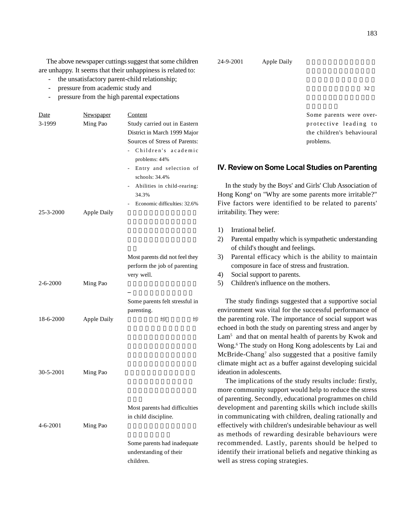The above newspaper cuttings suggest that some children are unhappy. It seems that their unhappiness is related to:

- the unsatisfactory parent-child relationship;
- pressure from academic study and
- pressure from the high parental expectations

| Date<br>3-1999 | <u>Newspaper</u><br>Ming Pao | Content<br>Study carried out in Eastern<br>District in March 1999 Major<br>Sources of Stress of Parents:<br>Children's academic<br>problems: 44%<br>Entry and selection of<br>schools: $34.4%$<br>Abilities in child-rearing:<br>$\sim$<br>34.3%<br>Economic difficulties: 32.6% |
|----------------|------------------------------|----------------------------------------------------------------------------------------------------------------------------------------------------------------------------------------------------------------------------------------------------------------------------------|
| 25-3-2000      | <b>Apple Daily</b>           | Most parents did not feel they                                                                                                                                                                                                                                                   |

|           |                    | perform the job of parenting<br>very well.   |  |
|-----------|--------------------|----------------------------------------------|--|
| 2-6-2000  | Ming Pao           |                                              |  |
|           |                    | Some parents felt stressful in<br>parenting. |  |
| 18-6-2000 | <b>Apple Daily</b> | 埗<br>埗                                       |  |

 $30 - 5 - 2001$  Ming Pao

Most parents had difficulties in child discipline.  $4-6-2001$  Ming Pao Some parents had inadequate

understanding of their children.

24-9-2001 Apple Daily

 $\sim$  32

Some parents were overprotective leading to the children's behavioural problems.

#### **IV. Review on Some Local Studies on Parenting**

In the study by the Boys' and Girls' Club Association of Hong Kong <sup>4</sup> on "Why are some parents more irritable?" Five factors were identified to be related to parents' irritability. They were:

- 1) Irrational belief.
- 2) Parental empathy which issympathetic understanding of child's thought and feelings.
- 3) Parental efficacy which is the ability to maintain composure in face of stress and frustration.
- 4) Social support to parents.
- 5) Children's influence on the mothers.

The study findings suggested that a supportive social environment was vital for the successful performance of the parenting role. The importance of social support was echoed in both the study on parenting stress and anger by Lam<sup>5</sup> and that on mental health of parents by Kwok and Wong. <sup>6</sup> The study on Hong Kong adolescents by Lai and McBride-Chang 7 also suggested that a positive family climate might act as a buffer against developing suicidal ideation in adolescents.

The implications of the study results include: firstly, more community support would help to reduce the stress of parenting.Secondly, educational programmes on child development and parenting skills which include skills in communicating with children, dealing rationally and effectively with children's undesirable behaviour as well as methods of rewarding desirable behaviours were recommended. Lastly, parents should be helped to identify their irrational beliefs and negative thinking as well as stress coping strategies.